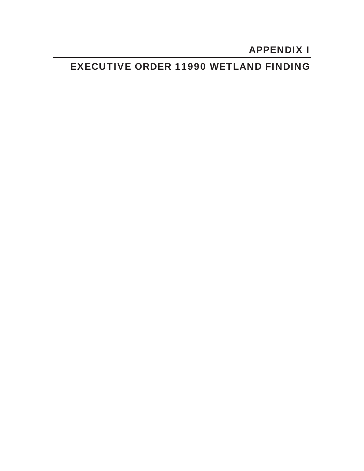# APPENDIX I

## EXECUTIVE ORDER 11990 WETLAND FINDING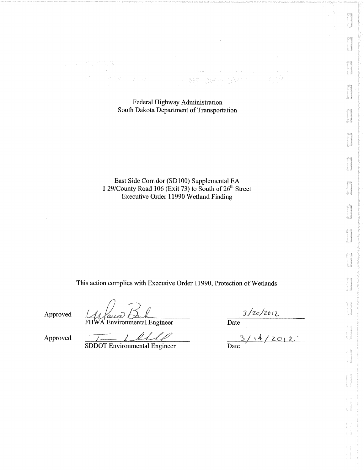#### Federal Highway Administration South Dakota Department of Transportation

East Side Corridor (SD100) Supplemental EA I-29/County Road 106 (Exit 73) to South of 26<sup>th</sup> Street Executive Order 11990 Wetland Finding

This action complies with Executive Order 11990, Protection of Wetlands

Approved

*Voires* 

FHWA Environmental Engineer

 $\frac{3/20/2012}{\text{Date}}$ <br>Date  $\frac{3/14/2012}{\text{Date}}$ 

Approved

held **SDDOT** Environmental Engineer

 $\frac{1}{2}$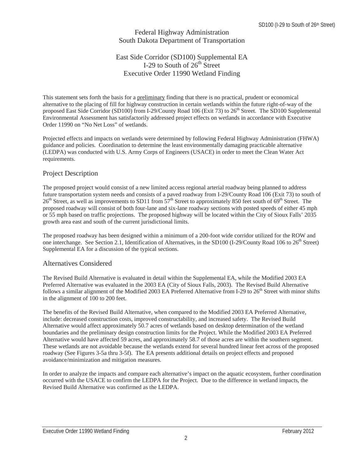#### Federal Highway Administration South Dakota Department of Transportation

## East Side Corridor (SD100) Supplemental EA I-29 to South of  $26<sup>th</sup>$  Street Executive Order 11990 Wetland Finding

This statement sets forth the basis for a preliminary finding that there is no practical, prudent or economical alternative to the placing of fill for highway construction in certain wetlands within the future right-of-way of the proposed East Side Corridor (SD100) from I-29/County Road 106 (Exit 73) to  $26<sup>th</sup>$  Street. The SD100 Supplemental Environmental Assessment has satisfactorily addressed project effects on wetlands in accordance with Executive Order 11990 on "No Net Loss" of wetlands.

Projected effects and impacts on wetlands were determined by following Federal Highway Administration (FHWA) guidance and policies. Coordination to determine the least environmentally damaging practicable alternative (LEDPA) was conducted with U.S. Army Corps of Engineers (USACE) in order to meet the Clean Water Act requirements.

## Project Description

The proposed project would consist of a new limited access regional arterial roadway being planned to address future transportation system needs and consists of a paved roadway from I-29/County Road 106 (Exit 73) to south of 26<sup>th</sup> Street, as well as improvements to SD11 from 57<sup>th</sup> Street to approximately 850 feet south of 69<sup>th</sup> Street. The proposed roadway will consist of both four-lane and six-lane roadway sections with posted speeds of either 45 mph or 55 mph based on traffic projections. The proposed highway will be located within the City of Sioux Falls' 2035 growth area east and south of the current jurisdictional limits.

The proposed roadway has been designed within a minimum of a 200-foot wide corridor utilized for the ROW and one interchange. See Section 2.1, Identification of Alternatives, in the SD100 (I-29/County Road 106 to 26<sup>th</sup> Street) Supplemental EA for a discussion of the typical sections.

#### Alternatives Considered

The Revised Build Alternative is evaluated in detail within the Supplemental EA, while the Modified 2003 EA Preferred Alternative was evaluated in the 2003 EA (City of Sioux Falls, 2003). The Revised Build Alternative follows a similar alignment of the Modified 2003 EA Preferred Alternative from I-29 to  $26<sup>th</sup>$  Street with minor shifts in the alignment of 100 to 200 feet.

The benefits of the Revised Build Alternative, when compared to the Modified 2003 EA Preferred Alternative, include: decreased construction costs, improved constructability, and increased safety. The Revised Build Alternative would affect approximately 50.7 acres of wetlands based on desktop determination of the wetland boundaries and the preliminary design construction limits for the Project. While the Modified 2003 EA Preferred Alternative would have affected 59 acres, and approximately 58.7 of those acres are within the southern segment. These wetlands are not avoidable because the wetlands extend for several hundred linear feet across of the proposed roadway (See Figures 3-5a thru 3-5f). The EA presents additional details on project effects and proposed avoidance/minimization and mitigation measures.

In order to analyze the impacts and compare each alternative's impact on the aquatic ecosystem, further coordination occurred with the USACE to confirm the LEDPA for the Project. Due to the difference in wetland impacts, the Revised Build Alternative was confirmed as the LEDPA.